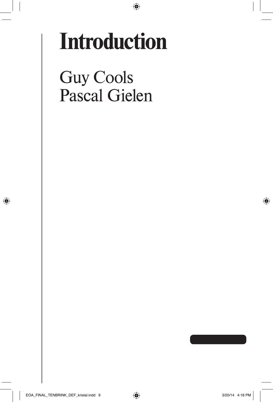## **Introduction**

 $\bigcirc$ 

Guy Cools Pascal Gielen

↔

⊕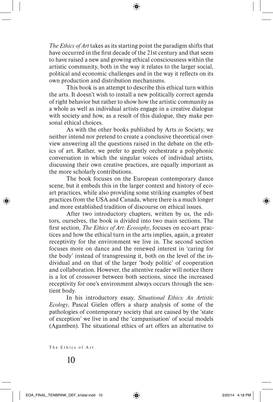*The Ethics of Art* takes as its starting point the paradigm shifts that have occurred in the first decade of the 21st century and that seem to have raised a new and growing ethical consciousness within the artistic community, both in the way it relates to the larger social, political and economic challenges and in the way it reflects on its own production and distribution mechanisms.

This book is an attempt to describe this ethical turn within the arts. It doesn't wish to install a new politically correct agenda of right behavior but rather to show how the artistic community as a whole as well as individual artists engage in a creative dialogue with society and how, as a result of this dialogue, they make personal ethical choices.

As with the other books published by Arts *in* Society, we neither intend nor pretend to create a conclusive theoretical overview answering all the questions raised in the debate on the ethics of art. Rather, we prefer to gently orchestrate a polyphonic conversation in which the singular voices of individual artists, discussing their own creative practices, are equally important as the more scholarly contributions.

The book focuses on the European contemporary dance scene, but it embeds this in the larger context and history of ecoart practices, while also providing some striking examples of best practices from the USA and Canada, where there is a much longer and more established tradition of discourse on ethical issues.

After two introductory chapters, written by us, the editors, ourselves, the book is divided into two main sections. The first section, *The Ethics of Art: Ecosophy*, focuses on eco-art practices and how the ethical turn in the arts implies, again, a greater receptivity for the environment we live in. The second section focuses more on dance and the renewed interest in 'caring for the body' instead of transgressing it, both on the level of the individual and on that of the larger 'body politic' of cooperation and collaboration. However, the attentive reader will notice there is a lot of crossover between both sections, since the increased receptivity for one's environment always occurs through the sentient body.

In his introductory essay, *Situational Ethics: An Artistic Ecology*, Pascal Gielen offers a sharp analysis of some of the pathologies of contemporary society that are caused by the 'state of exception' we live in and the 'campanisation' of social models (Agamben). The situational ethics of art offers an alternative to

The Ethics of Art

⊕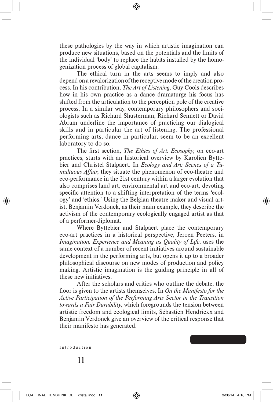these pathologies by the way in which artistic imagination can produce new situations, based on the potentials and the limits of the individual 'body' to replace the habits installed by the homogenization process of global capitalism.

The ethical turn in the arts seems to imply and also depend on a revalorization of the receptive mode of the creation process. In his contribution, *The Art of Listening*, Guy Cools describes how in his own practice as a dance dramaturge his focus has shifted from the articulation to the perception pole of the creative process. In a similar way, contemporary philosophers and sociologists such as Richard Shusterman, Richard Sennett or David Abram underline the importance of practicing our dialogical skills and in particular the art of listening. The professional performing arts, dance in particular, seem to be an excellent laboratory to do so.

The first section, *The Ethics of Art: Ecosophy*, on eco-art practices, starts with an historical overview by Karolien Byttebier and Christel Stalpaert. In *Ecology and Art: Scenes of a Tumultuous Affair*, they situate the phenomenon of eco-theatre and eco-performance in the 21st century within a larger evolution that also comprises land art, environmental art and eco-art, devoting specific attention to a shifting interpretation of the terms 'ecology' and 'ethics.' Using the Belgian theatre maker and visual artist, Benjamin Verdonck, as their main example, they describe the activism of the contemporary ecologically engaged artist as that of a performer-diplomat.

Where Byttebier and Stalpaert place the contemporary eco-art practices in a historical perspective, Jeroen Peeters, in *Imagination, Experience and Meaning as Quality of Life*, uses the same context of a number of recent initiatives around sustainable development in the performing arts, but opens it up to a broader philosophical discourse on new modes of production and policy making. Artistic imagination is the guiding principle in all of these new initiatives.

After the scholars and critics who outline the debate, the floor is given to the artists themselves. In *On the Manifesto for the Active Participation of the Performing Arts Sector in the Transition towards a Fair Durability*, which foregrounds the tension between artistic freedom and ecological limits, Sébastien Hendrickx and Benjamin Verdonck give an overview of the critical response that their manifesto has generated.

Introduction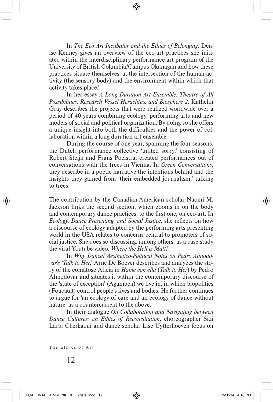In *The Eco Art Incubator and the Ethics of Belonging*, Denise Kenney gives an overview of the eco-art practices she initiated within the interdisciplinary performance art program of the University of British Columbia/Campus Okanagan and how these practices situate themselves 'at the intersection of the human activity (the sensory body) and the environment within which that activity takes place.'

In her essay *A Long Duration Art Ensemble: Theatre of All Possibilities, Research Vessel Heraclitus, and Biosphere 2*, Kathelin Gray describes the projects that were realized worldwide over a period of 40 years combining ecology, performing arts and new models of social and political organization. By doing so she offers a unique insight into both the difficulties and the power of collaboration within a long duration art ensemble.

During the course of one year, spanning the four seasons, the Dutch performance collective 'united sorry,' consisting of Robert Steijn and Frans Poelstra, created performances out of conversations with the trees in Vienna. In *Green Conversations*, they describe in a poetic narrative the intentions behind and the insights they gained from 'their embedded journalism,' talking to trees.

The contribution by the Canadian-American scholar Naomi M. Jackson links the second section, which zooms in on the body and contemporary dance practices, to the first one, on eco-art. In *Ecology, Dance Presenting, and Social Justice*, she reflects on how a discourse of ecology adapted by the performing arts presenting world in the USA relates to concerns central to promoters of social justice. She does so discussing, among others, as a case study the viral Youtube video, *Where the Hell is Matt?* 

In *Why Dance? Aesthetico-Political Notes on Pedro Almodóvar's 'Talk to Her*,' Arne De Boever describes and analyzes the story of the comatose Alicia in *Hable con ella* (*Talk to Her*) by Pedro Almodóvar and situates it within the contemporary discourse of the 'state of exception' (Agamben) we live in, in which biopolitics (Foucault) control people's lives and bodies. He further continues to argue for 'an ecology of care and an ecology of dance without nature' as a countercurrent to the above.

In their dialogue *On Collaboration and Navigating between Dance Cultures: an Ethics of Reconciliation*, choreographer Sidi Larbi Cherkaoui and dance scholar Lise Uytterhoeven focus on

The Ethics of Art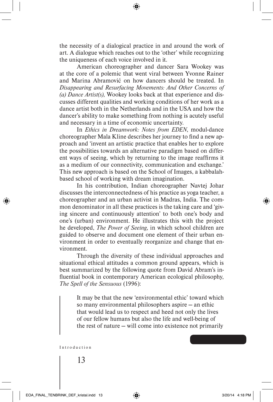the necessity of a dialogical practice in and around the work of art. A dialogue which reaches out to the 'other' while recognizing the uniqueness of each voice involved in it.

American choreographer and dancer Sara Wookey was at the core of a polemic that went viral between Yvonne Rainer and Marina Abramović on how dancers should be treated. In *Disappearing and Resurfacing Movements: And Other Concerns of (a) Dance Artist(s)*, Wookey looks back at that experience and discusses different qualities and working conditions of her work as a dance artist both in the Netherlands and in the USA and how the dancer's ability to make something from nothing is acutely useful and necessary in a time of economic uncertainty.

In *Ethics in Dreamwork: Notes from EDEN*, modul-dance choreographer Mala Kline describes her journey to find a new approach and 'invent an artistic practice that enables her to explore the possibilities towards an alternative paradigm based on different ways of seeing, which by returning to the image reaffirms it as a medium of our connectivity, communication and exchange.' This new approach is based on the School of Images, a kabbalahbased school of working with dream imagination.

In his contribution, Indian choreographer Navtej Johar discusses the interconnectedness of his practice as yoga teacher, a choreographer and an urban activist in Madras, India. The common denominator in all these practices is the taking care and 'giving sincere and continuously attention' to both one's body and one's (urban) environment. He illustrates this with the project he developed, *The Power of Seeing*, in which school children are guided to observe and document one element of their urban environment in order to eventually reorganize and change that environment.

Through the diversity of these individual approaches and situational ethical attitudes a common ground appears, which is best summarized by the following quote from David Abram's influential book in contemporary American ecological philosophy, *The Spell of the Sensuous* (1996):

It may be that the new 'environmental ethic' toward which so many environmental philosophers aspire — an ethic that would lead us to respect and heed not only the lives of our fellow humans but also the life and well-being of the rest of nature — will come into existence not primarily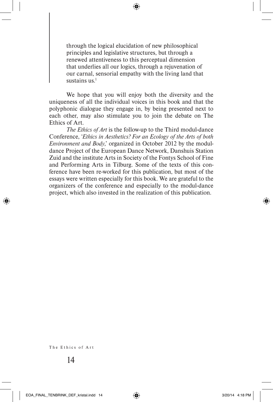through the logical elucidation of new philosophical principles and legislative structures, but through a renewed attentiveness to this perceptual dimension that underlies all our logics, through a rejuvenation of our carnal, sensorial empathy with the living land that sustains us.<sup>1</sup>

⊕

We hope that you will enjoy both the diversity and the uniqueness of all the individual voices in this book and that the polyphonic dialogue they engage in, by being presented next to each other, may also stimulate you to join the debate on The Ethics of Art.

*The Ethics of Art* is the follow-up to the Third modul-dance Conference, '*Ethics in Aesthetics? For an Ecology of the Arts of both Environment and Body*,' organized in October 2012 by the moduldance Project of the European Dance Network, Danshuis Station Zuid and the institute Arts in Society of the Fontys School of Fine and Performing Arts in Tilburg. Some of the texts of this conference have been re-worked for this publication, but most of the essays were written especially for this book. We are grateful to the organizers of the conference and especially to the modul-dance project, which also invested in the realization of this publication.

The Ethics of Art